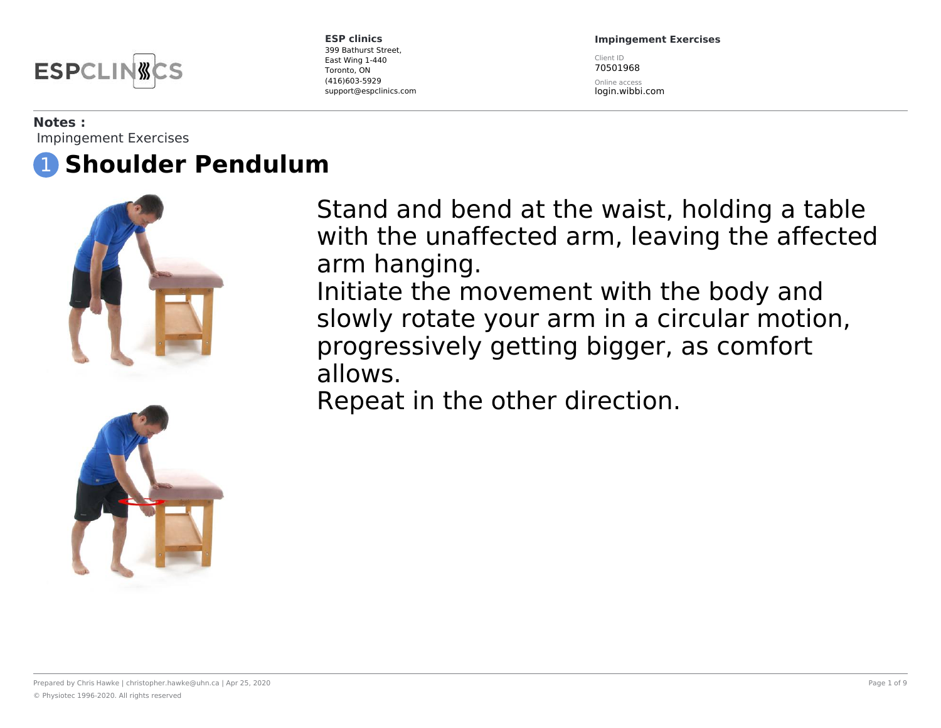

**Impingement Exercises**

Client ID 70501968

Online access login.wibbi.com

#### **Notes :**

Impingement Exercises

## 1 **Shoulder Pendulum**





Stand and bend at the waist, holding a table with the unaffected arm, leaving the affected arm hanging. Initiate the movement with the body and

slowly rotate your arm in a circular motion, progressively getting bigger, as comfort allows.

Repeat in the other direction.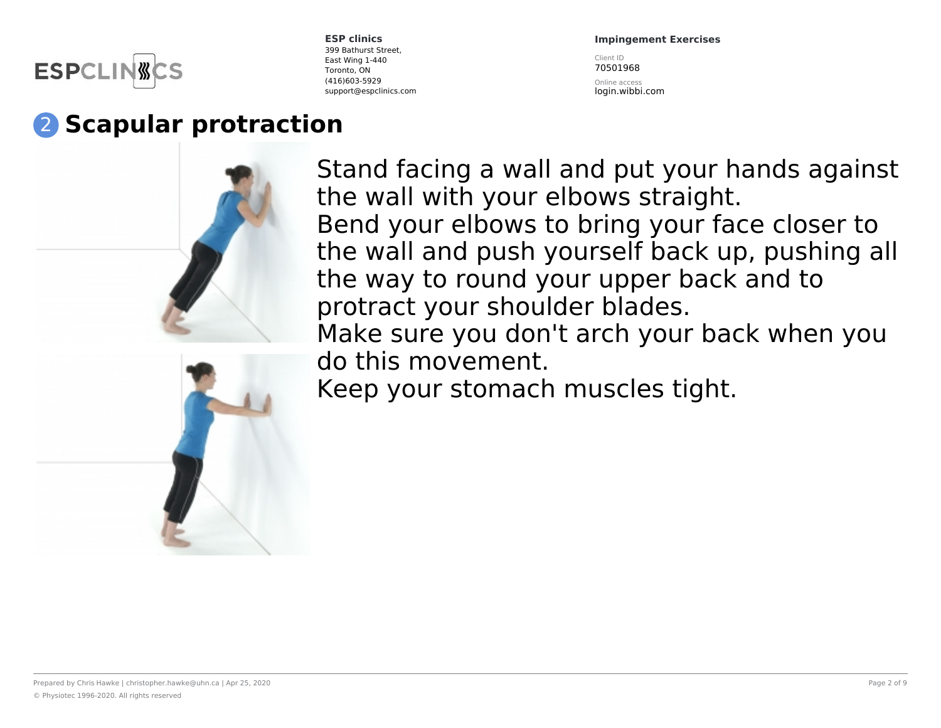

**Impingement Exercises**

Client ID 70501968

Online access login.wibbi.com

# 2 **Scapular protraction**

Stand facing a wall and put your hands against the wall with your elbows straight. Bend your elbows to bring your face closer to the wall and push yourself back up, pushing all the way to round your upper back and to protract your shoulder blades. Make sure you don't arch your back when you do this movement. Keep your stomach muscles tight.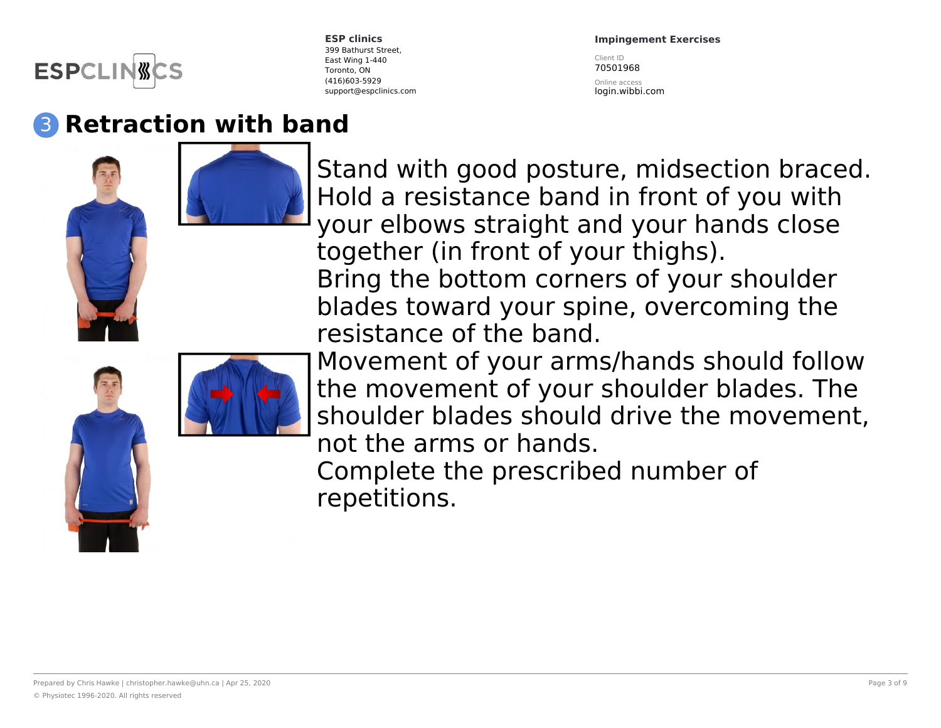

#### **Impingement Exercises**

Client ID 70501968

Online access login.wibbi.com

### 3 **Retraction with band**





Stand with good posture, midsection braced. Hold a resistance band in front of you with your elbows straight and your hands close together (in front of your thighs). Bring the bottom corners of your shoulder blades toward your spine, overcoming the resistance of the band.

Movement of your arms/hands should follow the movement of your shoulder blades. The shoulder blades should drive the movement, not the arms or hands.

Complete the prescribed number of repetitions.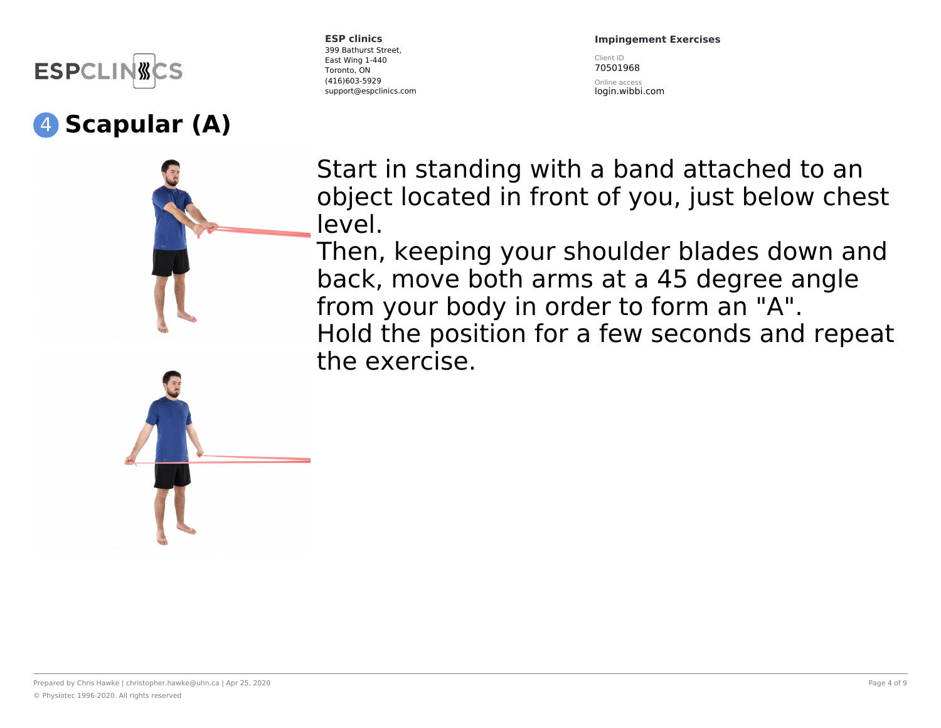

### 4 **Scapular (A)**





**ESP clinics** 399 Bathurst Street, East Wing 1-440 Toronto, ON (416)603-5929 support@espclinics.com **Impingement Exercises**

Client ID 70501968

Online access login.wibbi.com

Start in standing with a band attached to an object located in front of you, just below chest level.

Then, keeping your shoulder blades down and back, move both arms at a 45 degree angle from your body in order to form an "A". Hold the position for a few seconds and repeat the exercise.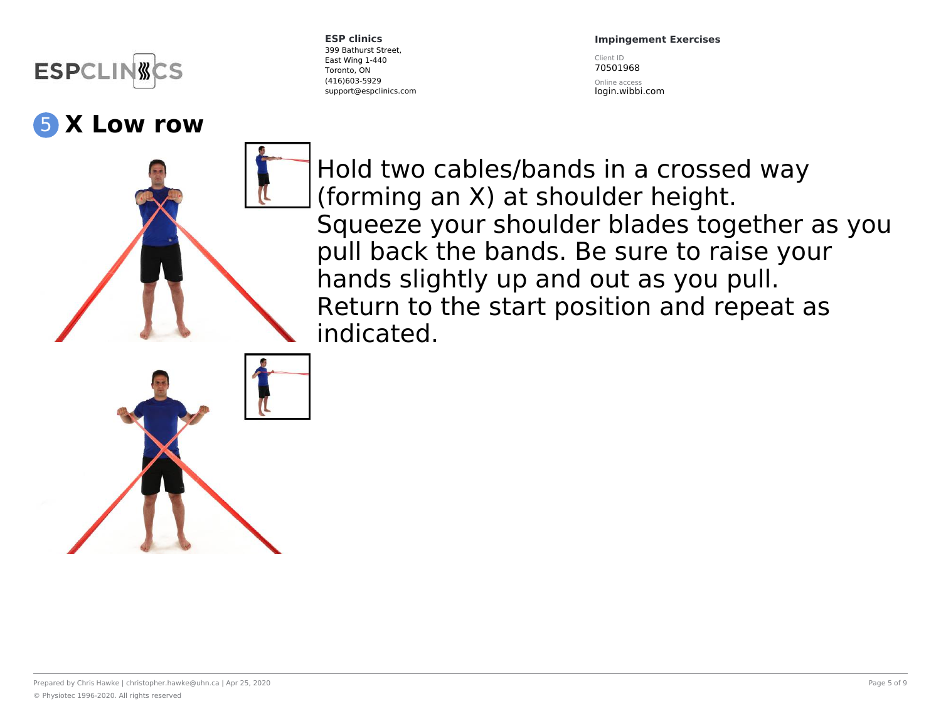

#### 5 **X Low row**

**ESP clinics** 399 Bathurst Street, East Wing 1-440 Toronto, ON (416)603-5929 support@espclinics.com

#### **Impingement Exercises**

Client ID 70501968

Online access login.wibbi.com

Hold two cables/bands in a crossed way (forming an X) at shoulder height. Squeeze your shoulder blades together as you pull back the bands. Be sure to raise your hands slightly up and out as you pull. Return to the start position and repeat as indicated.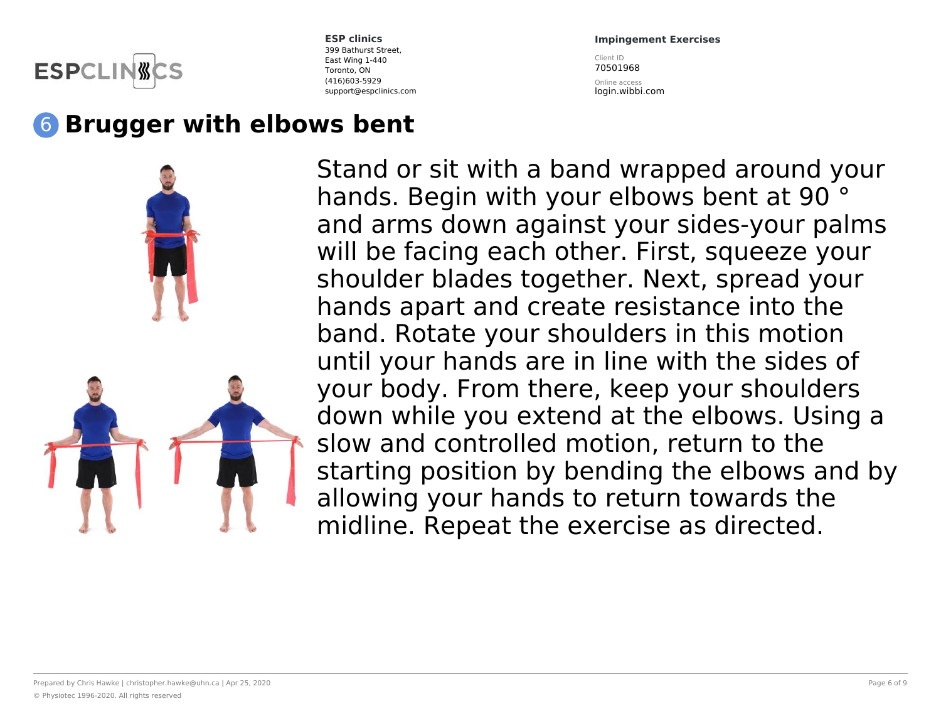

**Impingement Exercises** Client ID

70501968

Online access login.wibbi.com

## 6 **Brugger with elbows bent**



Stand or sit with a band wrapped around your hands. Begin with your elbows bent at 90<sup>°</sup> and arms down against your sides-your palms will be facing each other. First, squeeze your shoulder blades together. Next, spread your hands apart and create resistance into the band. Rotate your shoulders in this motion until your hands are in line with the sides of your body. From there, keep your shoulders down while you extend at the elbows. Using a slow and controlled motion, return to the starting position by bending the elbows and by allowing your hands to return towards the midline. Repeat the exercise as directed.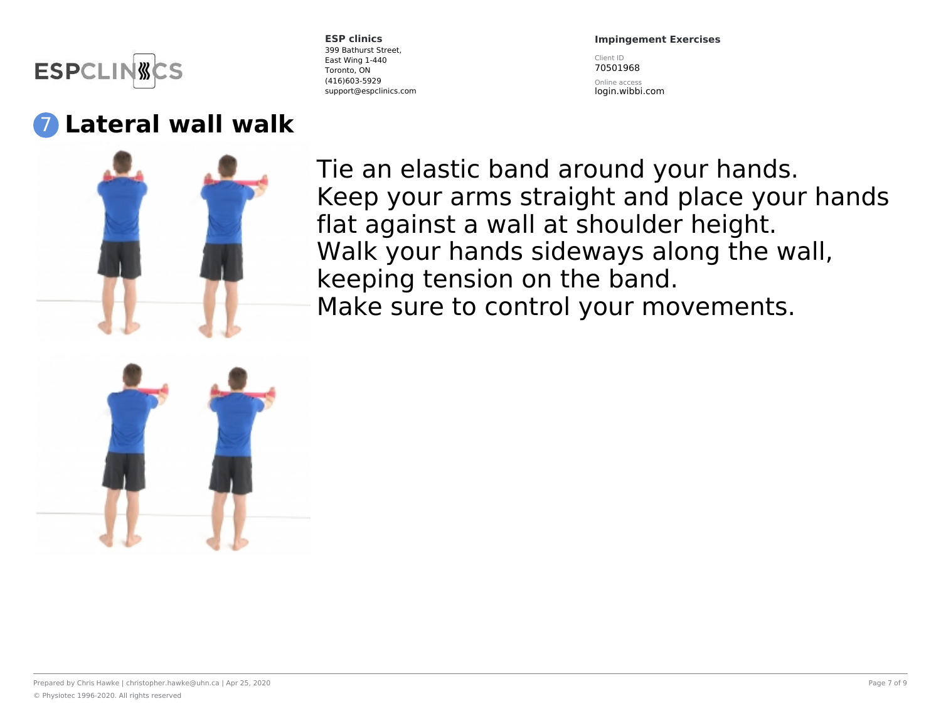

### 7 **Lateral wall walk**

**ESP clinics** 399 Bathurst Street, East Wing 1-440 Toronto, ON (416)603-5929 support@espclinics.com **Impingement Exercises**

Client ID 70501968

Online access login.wibbi.com



Tie an elastic band around your hands. Keep your arms straight and place your hands flat against a wall at shoulder height. Walk your hands sideways along the wall, keeping tension on the band. Make sure to control your movements.

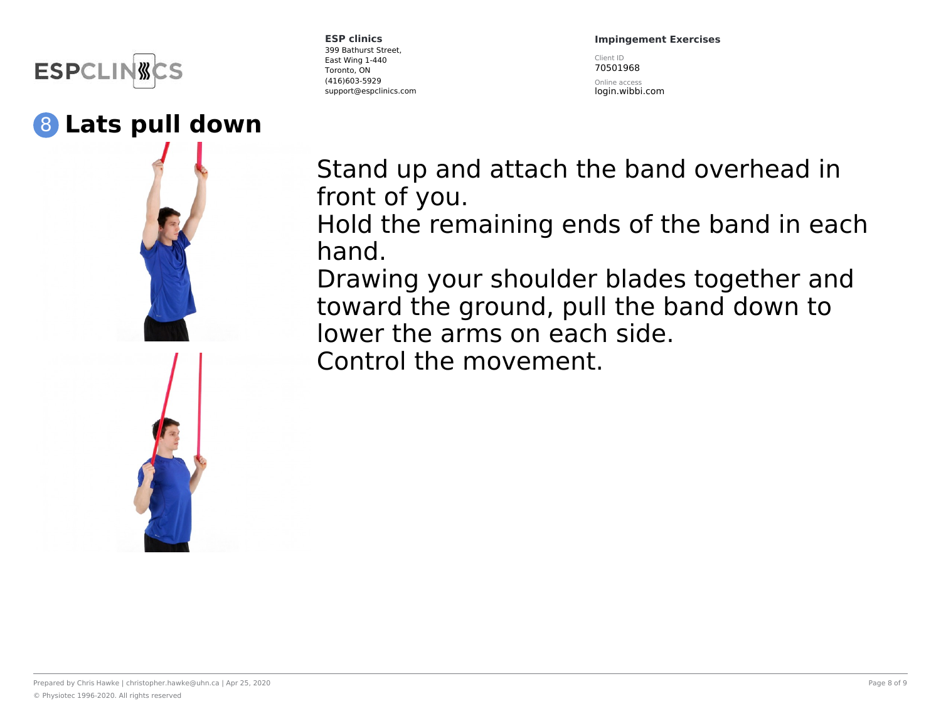

#### 8 **Lats pull down**

**ESP clinics** 399 Bathurst Street, East Wing 1-440 Toronto, ON (416)603-5929 support@espclinics.com **Impingement Exercises**

Client ID 70501968

Online access login.wibbi.com

Stand up and attach the band overhead in front of you.

Hold the remaining ends of the band in each hand.

Drawing your shoulder blades together and toward the ground, pull the band down to lower the arms on each side.

Control the movement.